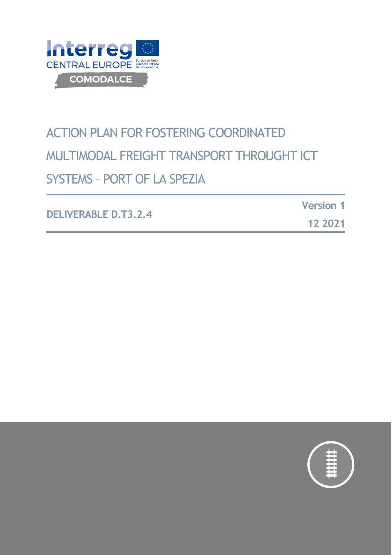

# ACTION PLAN FOR FOSTERING COORDINATED MULTIMODAL FREIGHT TRANSPORT THROUGHT ICT SYSTEMS – PORT OF LA SPEZIA

**DELIVERABLE D.T3.2.4 Version 1 12 2021**

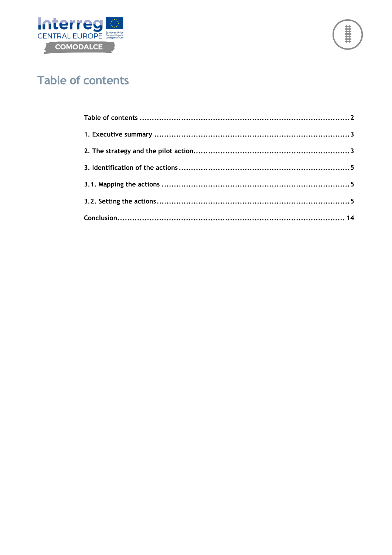



## <span id="page-1-0"></span>**Table of contents**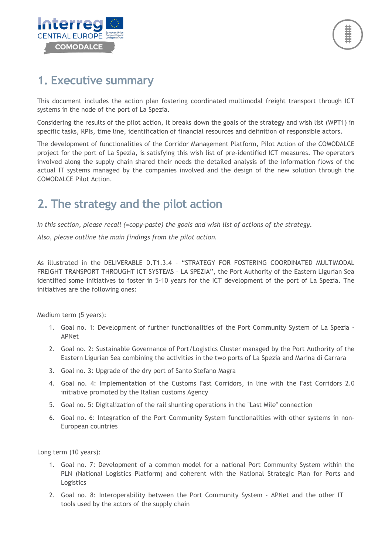

#### <span id="page-2-0"></span>**1. Executive summary**

This document includes the action plan fostering coordinated multimodal freight transport through ICT systems in the node of the port of La Spezia.

Considering the results of the pilot action, it breaks down the goals of the strategy and wish list (WPT1) in specific tasks, KPIs, time line, identification of financial resources and definition of responsible actors.

The development of functionalities of the Corridor Management Platform, Pilot Action of the COMODALCE project for the port of La Spezia, is satisfying this wish list of pre-identified ICT measures. The operators involved along the supply chain shared their needs the detailed analysis of the information flows of the actual IT systems managed by the companies involved and the design of the new solution through the COMODALCE Pilot Action.

### <span id="page-2-1"></span>**2. The strategy and the pilot action**

*In this section, please recall (=copy-paste) the goals and wish list of actions of the strategy.*

*Also, please outline the main findings from the pilot action.*

As illustrated in the DELIVERABLE D.T1.3.4 – "STRATEGY FOR FOSTERING COORDINATED MULTIMODAL FREIGHT TRANSPORT THROUGHT ICT SYSTEMS – LA SPEZIA", the Port Authority of the Eastern Ligurian Sea identified some initiatives to foster in 5-10 years for the ICT development of the port of La Spezia. The initiatives are the following ones:

Medium term (5 years):

- 1. Goal no. 1: Development of further functionalities of the Port Community System of La Spezia APNet
- 2. Goal no. 2: Sustainable Governance of Port/Logistics Cluster managed by the Port Authority of the Eastern Ligurian Sea combining the activities in the two ports of La Spezia and Marina di Carrara
- 3. Goal no. 3: Upgrade of the dry port of Santo Stefano Magra
- 4. Goal no. 4: Implementation of the Customs Fast Corridors, in line with the Fast Corridors 2.0 initiative promoted by the Italian customs Agency
- 5. Goal no. 5: Digitalization of the rail shunting operations in the "Last Mile" connection
- 6. Goal no. 6: Integration of the Port Community System functionalities with other systems in non-European countries

Long term (10 years):

- 1. Goal no. 7: Development of a common model for a national Port Community System within the PLN (National Logistics Platform) and coherent with the National Strategic Plan for Ports and Logistics
- 2. Goal no. 8: Interoperability between the Port Community System APNet and the other IT tools used by the actors of the supply chain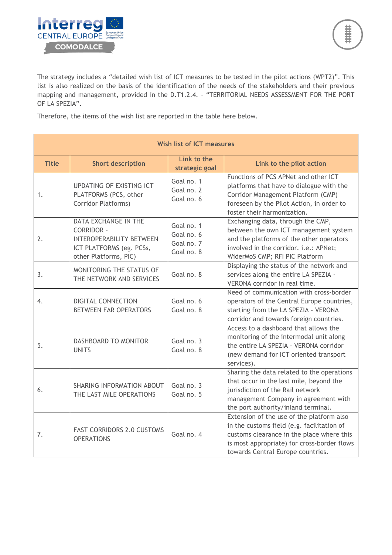

The strategy includes a "detailed wish list of ICT measures to be tested in the pilot actions (WPT2)". This list is also realized on the basis of the identification of the needs of the stakeholders and their previous mapping and management, provided in the D.T1.2.4. - "TERRITORIAL NEEDS ASSESSMENT FOR THE PORT OF LA SPEZIA".

Therefore, the items of the wish list are reported in the table here below.

| <b>Wish list of ICT measures</b> |                                                                                                                                          |                                                      |                                                                                                                                                                                                                          |
|----------------------------------|------------------------------------------------------------------------------------------------------------------------------------------|------------------------------------------------------|--------------------------------------------------------------------------------------------------------------------------------------------------------------------------------------------------------------------------|
| <b>Title</b>                     | <b>Short description</b>                                                                                                                 | Link to the<br>strategic goal                        | Link to the pilot action                                                                                                                                                                                                 |
| 1.                               | <b>UPDATING OF EXISTING ICT</b><br>PLATFORMS (PCS, other<br><b>Corridor Platforms)</b>                                                   | Goal no. 1<br>Goal no. 2<br>Goal no. 6               | Functions of PCS APNet and other ICT<br>platforms that have to dialogue with the<br>Corridor Management Platform (CMP)<br>foreseen by the Pilot Action, in order to<br>foster their harmonization.                       |
| 2.                               | <b>DATA EXCHANGE IN THE</b><br><b>CORRIDOR -</b><br><b>INTEROPERABILITY BETWEEN</b><br>ICT PLATFORMS (eg. PCSs,<br>other Platforms, PIC) | Goal no. 1<br>Goal no. 6<br>Goal no. 7<br>Goal no. 8 | Exchanging data, through the CMP,<br>between the own ICT management system<br>and the platforms of the other operators<br>involved in the corridor. i.e.: APNet;<br>WiderMoS CMP; RFI PIC Platform                       |
| 3.                               | <b>MONITORING THE STATUS OF</b><br>THE NETWORK AND SERVICES                                                                              | Goal no. 8                                           | Displaying the status of the network and<br>services along the entire LA SPEZIA -<br>VERONA corridor in real time.                                                                                                       |
| 4.                               | <b>DIGITAL CONNECTION</b><br><b>BETWEEN FAR OPERATORS</b>                                                                                | Goal no. 6<br>Goal no. 8                             | Need of communication with cross-border<br>operators of the Central Europe countries,<br>starting from the LA SPEZIA - VERONA<br>corridor and towards foreign countries.                                                 |
| 5.                               | DASHBOARD TO MONITOR<br><b>UNITS</b>                                                                                                     | Goal no. 3<br>Goal no. 8                             | Access to a dashboard that allows the<br>monitoring of the intermodal unit along<br>the entire LA SPEZIA - VERONA corridor<br>(new demand for ICT oriented transport<br>services).                                       |
| 6.                               | SHARING INFORMATION ABOUT<br>THE LAST MILE OPERATIONS                                                                                    | Goal no. 3<br>Goal no. 5                             | Sharing the data related to the operations<br>that occur in the last mile, beyond the<br>jurisdiction of the Rail network<br>management Company in agreement with<br>the port authority/inland terminal.                 |
| 7.                               | <b>FAST CORRIDORS 2.0 CUSTOMS</b><br><b>OPERATIONS</b>                                                                                   | Goal no. 4                                           | Extension of the use of the platform also<br>in the customs field (e.g. facilitation of<br>customs clearance in the place where this<br>is most appropriate) for cross-border flows<br>towards Central Europe countries. |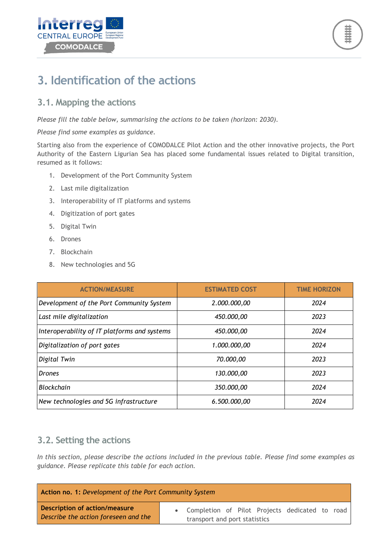



### <span id="page-4-0"></span>**3. Identification of the actions**

#### <span id="page-4-1"></span>**3.1. Mapping the actions**

*Please fill the table below, summarising the actions to be taken (horizon: 2030).*

#### *Please find some examples as guidance.*

Starting also from the experience of COMODALCE Pilot Action and the other innovative projects, the Port Authority of the Eastern Ligurian Sea has placed some fundamental issues related to Digital transition, resumed as it follows:

- 1. Development of the Port Community System
- 2. Last mile digitalization
- 3. Interoperability of IT platforms and systems
- 4. Digitization of port gates
- 5. Digital Twin
- 6. Drones
- 7. Blockchain
- 8. New technologies and 5G

| <b>ACTION/MEASURE</b>                        | <b>ESTIMATED COST</b> | <b>TIME HORIZON</b> |
|----------------------------------------------|-----------------------|---------------------|
| Development of the Port Community System     | 2.000.000,00          | 2024                |
| Last mile digitalization                     | 450,000,00            | 2023                |
| Interoperability of IT platforms and systems | 450.000,00            | 2024                |
| Digitalization of port gates                 | 1.000.000,00          | 2024                |
| Digital Twin                                 | 70.000,00             | 2023                |
| <b>Drones</b>                                | 130.000,00            | 2023                |
| <b>Blockchain</b>                            | 350.000,00            | 2024                |
| New technologies and 5G infrastructure       | 6.500.000,00          | 2024                |

#### <span id="page-4-2"></span>**3.2. Setting the actions**

*In this section, please describe the actions included in the previous table. Please find some examples as guidance. Please replicate this table for each action.*

| Action no. 1: Development of the Port Community System                       |  |                                                                                   |
|------------------------------------------------------------------------------|--|-----------------------------------------------------------------------------------|
| <b>Description of action/measure</b><br>Describe the action foreseen and the |  | • Completion of Pilot Projects dedicated to road<br>transport and port statistics |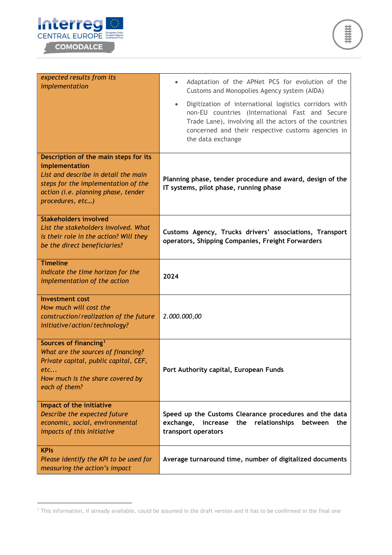



| expected results from its<br>implementation                                                                                                                                                       | Adaptation of the APNet PCS for evolution of the<br>$\bullet$<br>Customs and Monopolies Agency system (AIDA)<br>Digitization of international logistics corridors with<br>$\bullet$<br>non-EU countries (International Fast and Secure<br>Trade Lane), involving all the actors of the countries<br>concerned and their respective customs agencies in<br>the data exchange |
|---------------------------------------------------------------------------------------------------------------------------------------------------------------------------------------------------|-----------------------------------------------------------------------------------------------------------------------------------------------------------------------------------------------------------------------------------------------------------------------------------------------------------------------------------------------------------------------------|
| Description of the main steps for its<br>implementation<br>List and describe in detail the main<br>steps for the implementation of the<br>action (i.e. planning phase, tender<br>procedures, etc) | Planning phase, tender procedure and award, design of the<br>IT systems, pilot phase, running phase                                                                                                                                                                                                                                                                         |
| <b>Stakeholders involved</b><br>List the stakeholders involved. What<br>is their role in the action? Will they<br>be the direct beneficiaries?                                                    | Customs Agency, Trucks drivers' associations, Transport<br>operators, Shipping Companies, Freight Forwarders                                                                                                                                                                                                                                                                |
| <b>Timeline</b><br>Indicate the time horizon for the<br>implementation of the action                                                                                                              | 2024                                                                                                                                                                                                                                                                                                                                                                        |
| <b>Investment cost</b><br>How much will cost the<br>construction/realization of the future<br>initiative/action/technology?                                                                       | 2.000.000,00                                                                                                                                                                                                                                                                                                                                                                |
| Sources of financing <sup>1</sup><br>What are the sources of financing?<br>Private capital, public capital, CEF,<br>etc<br>How much is the share covered by<br>each of them?                      | Port Authority capital, European Funds                                                                                                                                                                                                                                                                                                                                      |
| Impact of the initiative<br>Describe the expected future<br>economic, social, environmental<br>impacts of this initiative                                                                         | Speed up the Customs Clearance procedures and the data<br>relationships<br>exchange,<br>the<br>increase<br>between<br>the<br>transport operators                                                                                                                                                                                                                            |
| <b>KPIs</b><br>Please identify the KPI to be used for<br>measuring the action's impact                                                                                                            | Average turnaround time, number of digitalized documents                                                                                                                                                                                                                                                                                                                    |

<span id="page-5-0"></span><sup>1</sup> This information, if already available, could be assumed in the draft version and it has to be confirmed in the final one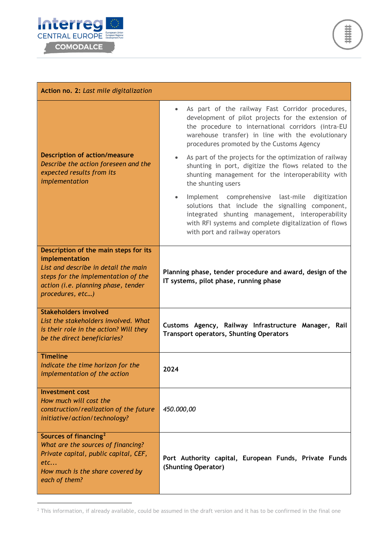

| Action no. 2: Last mile digitalization                                                                                                                                                            |                                                                                                                                                                                                                                                                             |  |
|---------------------------------------------------------------------------------------------------------------------------------------------------------------------------------------------------|-----------------------------------------------------------------------------------------------------------------------------------------------------------------------------------------------------------------------------------------------------------------------------|--|
|                                                                                                                                                                                                   | As part of the railway Fast Corridor procedures,<br>$\bullet$<br>development of pilot projects for the extension of<br>the procedure to international corridors (intra-EU<br>warehouse transfer) in line with the evolutionary<br>procedures promoted by the Customs Agency |  |
| <b>Description of action/measure</b><br>Describe the action foreseen and the<br>expected results from its<br>implementation                                                                       | As part of the projects for the optimization of railway<br>shunting in port, digitize the flows related to the<br>shunting management for the interoperability with<br>the shunting users                                                                                   |  |
|                                                                                                                                                                                                   | Implement comprehensive last-mile<br>digitization<br>solutions that include the signalling component,<br>integrated shunting management, interoperability<br>with RFI systems and complete digitalization of flows<br>with port and railway operators                       |  |
| Description of the main steps for its<br>implementation<br>List and describe in detail the main<br>steps for the implementation of the<br>action (i.e. planning phase, tender<br>procedures, etc) | Planning phase, tender procedure and award, design of the<br>IT systems, pilot phase, running phase                                                                                                                                                                         |  |
| <b>Stakeholders involved</b><br>List the stakeholders involved. What<br>is their role in the action? Will they<br>be the direct beneficiaries?                                                    | Customs Agency, Railway Infrastructure Manager, Rail<br><b>Transport operators, Shunting Operators</b>                                                                                                                                                                      |  |
| <b>Timeline</b><br>Indicate the time horizon for the<br>implementation of the action                                                                                                              | 2024                                                                                                                                                                                                                                                                        |  |
| <b>Investment cost</b><br>How much will cost the<br>construction/realization of the future<br>initiative/action/technology?                                                                       | 450.000,00                                                                                                                                                                                                                                                                  |  |
| Sources of financing <sup>2</sup><br>What are the sources of financing?<br>Private capital, public capital, CEF,<br>etc<br>How much is the share covered by<br>each of them?                      | Port Authority capital, European Funds, Private Funds<br>(Shunting Operator)                                                                                                                                                                                                |  |

<span id="page-6-0"></span> $2$  This information, if already available, could be assumed in the draft version and it has to be confirmed in the final one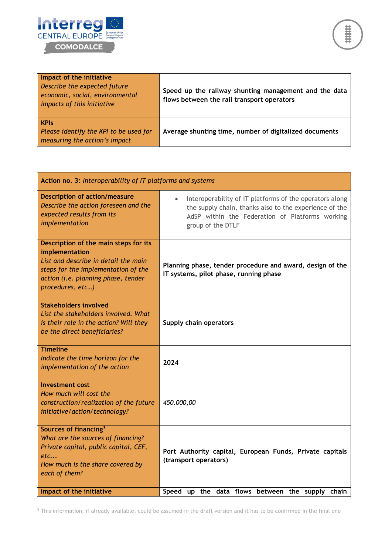

| Impact of the initiative<br>Describe the expected future<br>economic, social, environmental<br>impacts of this initiative | Speed up the railway shunting management and the data<br>flows between the rail transport operators |
|---------------------------------------------------------------------------------------------------------------------------|-----------------------------------------------------------------------------------------------------|
| <b>KPIs</b><br>Please identify the KPI to be used for<br>measuring the action's impact                                    | Average shunting time, number of digitalized documents                                              |

| Action no. 3: Interoperability of IT platforms and systems                                                                                                                                        |                                                                                                                                                                                           |  |
|---------------------------------------------------------------------------------------------------------------------------------------------------------------------------------------------------|-------------------------------------------------------------------------------------------------------------------------------------------------------------------------------------------|--|
| <b>Description of action/measure</b><br>Describe the action foreseen and the<br>expected results from its<br>implementation                                                                       | Interoperability of IT platforms of the operators along<br>the supply chain, thanks also to the experience of the<br>AdSP within the Federation of Platforms working<br>group of the DTLF |  |
| Description of the main steps for its<br>implementation<br>List and describe in detail the main<br>steps for the implementation of the<br>action (i.e. planning phase, tender<br>procedures, etc) | Planning phase, tender procedure and award, design of the<br>IT systems, pilot phase, running phase                                                                                       |  |
| <b>Stakeholders involved</b><br>List the stakeholders involved. What<br>is their role in the action? Will they<br>be the direct beneficiaries?                                                    | Supply chain operators                                                                                                                                                                    |  |
| <b>Timeline</b><br>Indicate the time horizon for the<br>implementation of the action                                                                                                              | 2024                                                                                                                                                                                      |  |
| <b>Investment cost</b><br>How much will cost the<br>construction/realization of the future<br>initiative/action/technology?                                                                       | 450.000,00                                                                                                                                                                                |  |
| Sources of financing <sup>3</sup><br>What are the sources of financing?<br>Private capital, public capital, CEF,<br>etc<br>How much is the share covered by<br>each of them?                      | Port Authority capital, European Funds, Private capitals<br>(transport operators)                                                                                                         |  |
| Impact of the initiative                                                                                                                                                                          | Speed up the data flows between the supply chain                                                                                                                                          |  |

<span id="page-7-0"></span><sup>3</sup> This information, if already available, could be assumed in the draft version and it has to be confirmed in the final one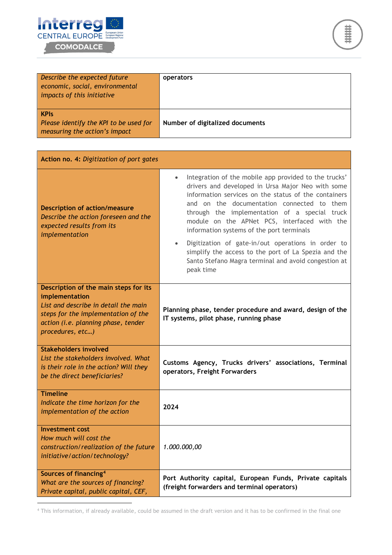



| Describe the expected future<br>economic, social, environmental<br>impacts of this initiative | operators                       |
|-----------------------------------------------------------------------------------------------|---------------------------------|
| <b>KPIs</b><br>Please identify the KPI to be used for<br>measuring the action's impact        | Number of digitalized documents |

| Action no. 4: Digitization of port gates                                                                                                                                                          |                                                                                                                                                                                                                                                                                                                                                                                                                                                                                                                                                                |  |
|---------------------------------------------------------------------------------------------------------------------------------------------------------------------------------------------------|----------------------------------------------------------------------------------------------------------------------------------------------------------------------------------------------------------------------------------------------------------------------------------------------------------------------------------------------------------------------------------------------------------------------------------------------------------------------------------------------------------------------------------------------------------------|--|
| <b>Description of action/measure</b><br>Describe the action foreseen and the<br>expected results from its<br>implementation                                                                       | Integration of the mobile app provided to the trucks'<br>drivers and developed in Ursa Major Neo with some<br>information services on the status of the containers<br>and on the documentation connected to them<br>through the implementation of a special truck<br>module on the APNet PCS, interfaced with the<br>information systems of the port terminals<br>Digitization of gate-in/out operations in order to<br>$\bullet$<br>simplify the access to the port of La Spezia and the<br>Santo Stefano Magra terminal and avoid congestion at<br>peak time |  |
| Description of the main steps for its<br>implementation<br>List and describe in detail the main<br>steps for the implementation of the<br>action (i.e. planning phase, tender<br>procedures, etc) | Planning phase, tender procedure and award, design of the<br>IT systems, pilot phase, running phase                                                                                                                                                                                                                                                                                                                                                                                                                                                            |  |
| <b>Stakeholders involved</b><br>List the stakeholders involved. What<br>is their role in the action? Will they<br>be the direct beneficiaries?                                                    | Customs Agency, Trucks drivers' associations, Terminal<br>operators, Freight Forwarders                                                                                                                                                                                                                                                                                                                                                                                                                                                                        |  |
| <b>Timeline</b><br>Indicate the time horizon for the<br>implementation of the action                                                                                                              | 2024                                                                                                                                                                                                                                                                                                                                                                                                                                                                                                                                                           |  |
| <b>Investment cost</b><br>How much will cost the<br>construction/realization of the future<br>initiative/action/technology?                                                                       | 1.000.000,00                                                                                                                                                                                                                                                                                                                                                                                                                                                                                                                                                   |  |
| Sources of financing <sup>4</sup><br>What are the sources of financing?<br>Private capital, public capital, CEF,                                                                                  | Port Authority capital, European Funds, Private capitals<br>(freight forwarders and terminal operators)                                                                                                                                                                                                                                                                                                                                                                                                                                                        |  |

<span id="page-8-0"></span><sup>4</sup> This information, if already available, could be assumed in the draft version and it has to be confirmed in the final one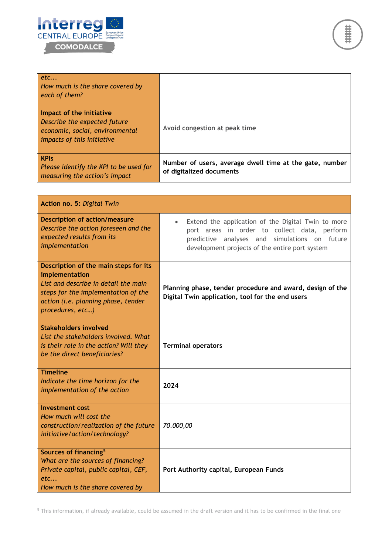



| etc<br>How much is the share covered by<br>each of them?                                                                  |                                                                                     |
|---------------------------------------------------------------------------------------------------------------------------|-------------------------------------------------------------------------------------|
| Impact of the initiative<br>Describe the expected future<br>economic, social, environmental<br>impacts of this initiative | Avoid congestion at peak time                                                       |
| <b>KPIs</b><br>Please identify the KPI to be used for<br>measuring the action's impact                                    | Number of users, average dwell time at the gate, number<br>of digitalized documents |

| Action no. 5: Digital Twin                                                                                                                                                                        |                                                                                                                                                                                                                    |  |
|---------------------------------------------------------------------------------------------------------------------------------------------------------------------------------------------------|--------------------------------------------------------------------------------------------------------------------------------------------------------------------------------------------------------------------|--|
| <b>Description of action/measure</b><br>Describe the action foreseen and the<br>expected results from its<br>implementation                                                                       | Extend the application of the Digital Twin to more<br>$\bullet$<br>port areas in order to collect data, perform<br>predictive analyses and simulations on future<br>development projects of the entire port system |  |
| Description of the main steps for its<br>implementation<br>List and describe in detail the main<br>steps for the implementation of the<br>action (i.e. planning phase, tender<br>procedures, etc) | Planning phase, tender procedure and award, design of the<br>Digital Twin application, tool for the end users                                                                                                      |  |
| <b>Stakeholders involved</b><br>List the stakeholders involved. What<br>is their role in the action? Will they<br>be the direct beneficiaries?                                                    | <b>Terminal operators</b>                                                                                                                                                                                          |  |
| <b>Timeline</b><br>Indicate the time horizon for the<br>implementation of the action                                                                                                              | 2024                                                                                                                                                                                                               |  |
| <b>Investment cost</b><br>How much will cost the<br>construction/realization of the future<br>initiative/action/technology?                                                                       | 70.000,00                                                                                                                                                                                                          |  |
| Sources of financing <sup>5</sup><br>What are the sources of financing?<br>Private capital, public capital, CEF,<br>etc<br>How much is the share covered by                                       | Port Authority capital, European Funds                                                                                                                                                                             |  |

<span id="page-9-0"></span><sup>5</sup> This information, if already available, could be assumed in the draft version and it has to be confirmed in the final one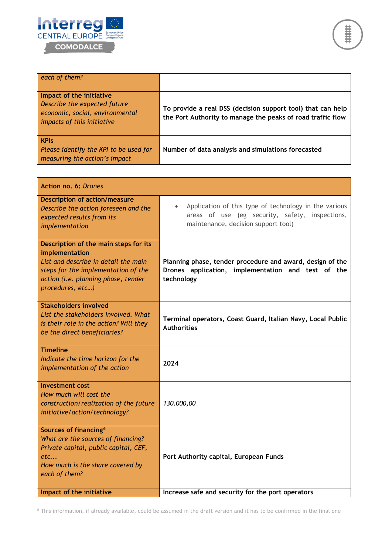



| each of them?                                                                                                             |                                                                                                                            |
|---------------------------------------------------------------------------------------------------------------------------|----------------------------------------------------------------------------------------------------------------------------|
| Impact of the initiative<br>Describe the expected future<br>economic, social, environmental<br>impacts of this initiative | To provide a real DSS (decision support tool) that can help<br>the Port Authority to manage the peaks of road traffic flow |
| <b>KPIs</b><br>Please identify the KPI to be used for<br>measuring the action's impact                                    | Number of data analysis and simulations forecasted                                                                         |

| Action no. 6: Drones                                                                                                                                                                                     |                                                                                                                                                              |
|----------------------------------------------------------------------------------------------------------------------------------------------------------------------------------------------------------|--------------------------------------------------------------------------------------------------------------------------------------------------------------|
| <b>Description of action/measure</b><br>Describe the action foreseen and the<br>expected results from its<br>implementation                                                                              | Application of this type of technology in the various<br>$\bullet$<br>areas of use (eg security, safety, inspections,<br>maintenance, decision support tool) |
| Description of the main steps for its<br>implementation<br>List and describe in detail the main<br>steps for the implementation of the<br>action (i.e. planning phase, tender<br>procedures, etc)        | Planning phase, tender procedure and award, design of the<br>Drones application, implementation and test of the<br>technology                                |
| <b>Stakeholders involved</b><br>List the stakeholders involved. What<br>is their role in the action? Will they<br>be the direct beneficiaries?                                                           | Terminal operators, Coast Guard, Italian Navy, Local Public<br><b>Authorities</b>                                                                            |
| <b>Timeline</b><br>Indicate the time horizon for the<br>implementation of the action                                                                                                                     | 2024                                                                                                                                                         |
| <b>Investment cost</b><br>How much will cost the<br>construction/realization of the future<br>initiative/action/technology?                                                                              | 130.000,00                                                                                                                                                   |
| Sources of financing <sup>6</sup><br>What are the sources of financing?<br>Private capital, public capital, CEF,<br>etc<br>How much is the share covered by<br>each of them?<br>Impact of the initiative | Port Authority capital, European Funds<br>Increase safe and security for the port operators                                                                  |
|                                                                                                                                                                                                          |                                                                                                                                                              |

<span id="page-10-0"></span><sup>6</sup> This information, if already available, could be assumed in the draft version and it has to be confirmed in the final one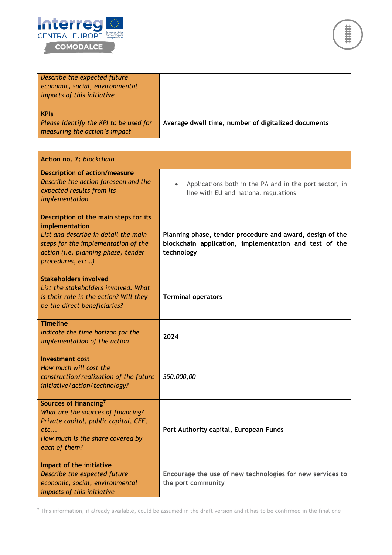



| Describe the expected future<br>economic, social, environmental<br>impacts of this initiative |                                                     |
|-----------------------------------------------------------------------------------------------|-----------------------------------------------------|
| <b>KPIs</b><br>Please identify the KPI to be used for<br>measuring the action's impact        | Average dwell time, number of digitalized documents |

| Action no. 7: Blockchain                                                                                                                                                                          |                                                                                                                                   |
|---------------------------------------------------------------------------------------------------------------------------------------------------------------------------------------------------|-----------------------------------------------------------------------------------------------------------------------------------|
| <b>Description of action/measure</b><br>Describe the action foreseen and the<br>expected results from its<br>implementation                                                                       | Applications both in the PA and in the port sector, in<br>line with EU and national regulations                                   |
| Description of the main steps for its<br>implementation<br>List and describe in detail the main<br>steps for the implementation of the<br>action (i.e. planning phase, tender<br>procedures, etc) | Planning phase, tender procedure and award, design of the<br>blockchain application, implementation and test of the<br>technology |
| <b>Stakeholders involved</b><br>List the stakeholders involved. What<br>is their role in the action? Will they<br>be the direct beneficiaries?                                                    | <b>Terminal operators</b>                                                                                                         |
| <b>Timeline</b><br>Indicate the time horizon for the<br>implementation of the action                                                                                                              | 2024                                                                                                                              |
| <b>Investment cost</b><br>How much will cost the<br>construction/realization of the future<br>initiative/action/technology?                                                                       | 350.000,00                                                                                                                        |
| Sources of financing <sup>7</sup><br>What are the sources of financing?<br>Private capital, public capital, CEF,<br>etc<br>How much is the share covered by<br>each of them?                      | Port Authority capital, European Funds                                                                                            |
| Impact of the initiative<br>Describe the expected future<br>economic, social, environmental<br>impacts of this initiative                                                                         | Encourage the use of new technologies for new services to<br>the port community                                                   |

<span id="page-11-0"></span> $^7$  This information, if already available, could be assumed in the draft version and it has to be confirmed in the final one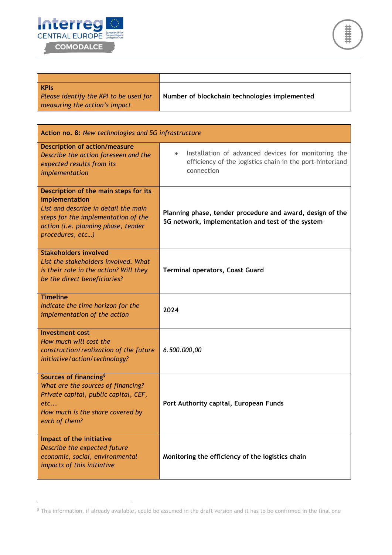

| <b>KPIs</b>                            |                                               |
|----------------------------------------|-----------------------------------------------|
| Please identify the KPI to be used for | Number of blockchain technologies implemented |
| measuring the action's impact          |                                               |

| Action no. 8: New technologies and 5G infrastructure                                                                                                                                              |                                                                                                                                            |  |
|---------------------------------------------------------------------------------------------------------------------------------------------------------------------------------------------------|--------------------------------------------------------------------------------------------------------------------------------------------|--|
| <b>Description of action/measure</b><br>Describe the action foreseen and the<br>expected results from its<br>implementation                                                                       | Installation of advanced devices for monitoring the<br>$\bullet$<br>efficiency of the logistics chain in the port-hinterland<br>connection |  |
| Description of the main steps for its<br>implementation<br>List and describe in detail the main<br>steps for the implementation of the<br>action (i.e. planning phase, tender<br>procedures, etc) | Planning phase, tender procedure and award, design of the<br>5G network, implementation and test of the system                             |  |
| <b>Stakeholders involved</b><br>List the stakeholders involved. What<br>is their role in the action? Will they<br>be the direct beneficiaries?                                                    | <b>Terminal operators, Coast Guard</b>                                                                                                     |  |
| <b>Timeline</b><br>Indicate the time horizon for the<br>implementation of the action                                                                                                              | 2024                                                                                                                                       |  |
| <b>Investment cost</b><br>How much will cost the<br>construction/realization of the future<br>initiative/action/technology?                                                                       | 6.500.000,00                                                                                                                               |  |
| Sources of financing <sup>8</sup><br>What are the sources of financing?<br>Private capital, public capital, CEF,<br>etc<br>How much is the share covered by<br>each of them?                      | Port Authority capital, European Funds                                                                                                     |  |
| Impact of the initiative<br>Describe the expected future<br>economic, social, environmental<br>impacts of this initiative                                                                         | Monitoring the efficiency of the logistics chain                                                                                           |  |

<span id="page-12-0"></span><sup>&</sup>lt;sup>8</sup> This information, if already available, could be assumed in the draft version and it has to be confirmed in the final one